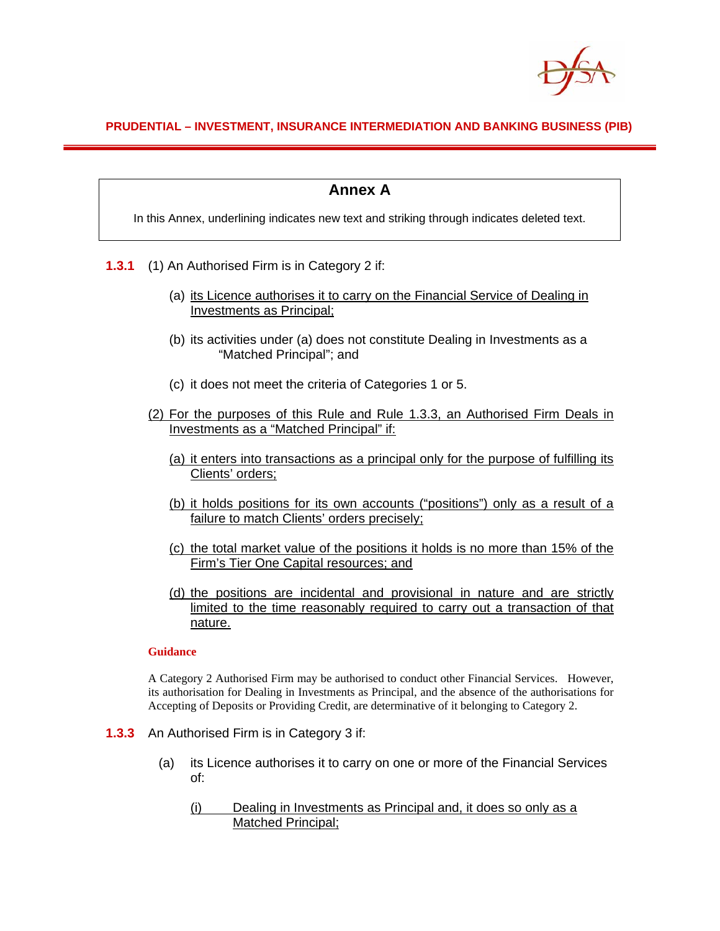

## **PRUDENTIAL – INVESTMENT, INSURANCE INTERMEDIATION AND BANKING BUSINESS (PIB)**

# **Annex A**

In this Annex, underlining indicates new text and striking through indicates deleted text.

- **1.3.1** (1) An Authorised Firm is in Category 2 if:
	- (a) its Licence authorises it to carry on the Financial Service of Dealing in Investments as Principal;
	- (b) its activities under (a) does not constitute Dealing in Investments as a "Matched Principal"; and
	- (c) it does not meet the criteria of Categories 1 or 5.
	- (2) For the purposes of this Rule and Rule 1.3.3, an Authorised Firm Deals in Investments as a "Matched Principal" if:
		- (a) it enters into transactions as a principal only for the purpose of fulfilling its Clients' orders;
		- (b) it holds positions for its own accounts ("positions") only as a result of a failure to match Clients' orders precisely;
		- (c) the total market value of the positions it holds is no more than 15% of the Firm's Tier One Capital resources; and
		- (d) the positions are incidental and provisional in nature and are strictly limited to the time reasonably required to carry out a transaction of that nature.

### **Guidance**

A Category 2 Authorised Firm may be authorised to conduct other Financial Services. However, its authorisation for Dealing in Investments as Principal, and the absence of the authorisations for Accepting of Deposits or Providing Credit, are determinative of it belonging to Category 2.

- **1.3.3** An Authorised Firm is in Category 3 if:
	- (a) its Licence authorises it to carry on one or more of the Financial Services of:
		- (i) Dealing in Investments as Principal and, it does so only as a Matched Principal;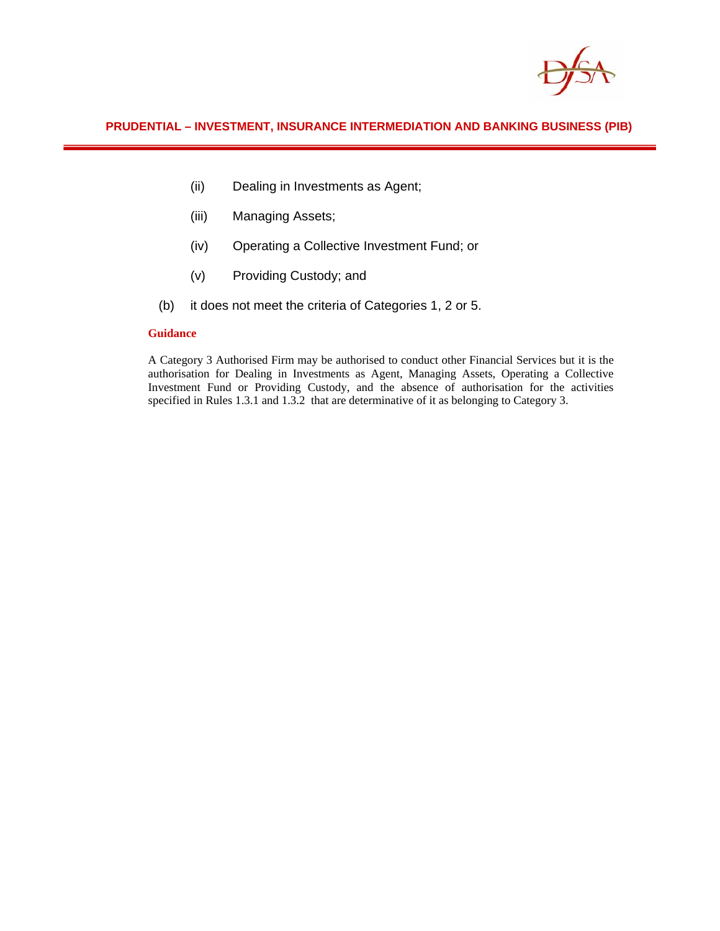

## **PRUDENTIAL – INVESTMENT, INSURANCE INTERMEDIATION AND BANKING BUSINESS (PIB)**

- (ii) Dealing in Investments as Agent;
- (iii) Managing Assets;
- (iv) Operating a Collective Investment Fund; or
- (v) Providing Custody; and
- (b) it does not meet the criteria of Categories 1, 2 or 5.

### **Guidance**

A Category 3 Authorised Firm may be authorised to conduct other Financial Services but it is the authorisation for Dealing in Investments as Agent, Managing Assets, Operating a Collective Investment Fund or Providing Custody, and the absence of authorisation for the activities specified in Rules 1.3.1 and 1.3.2 that are determinative of it as belonging to Category 3.